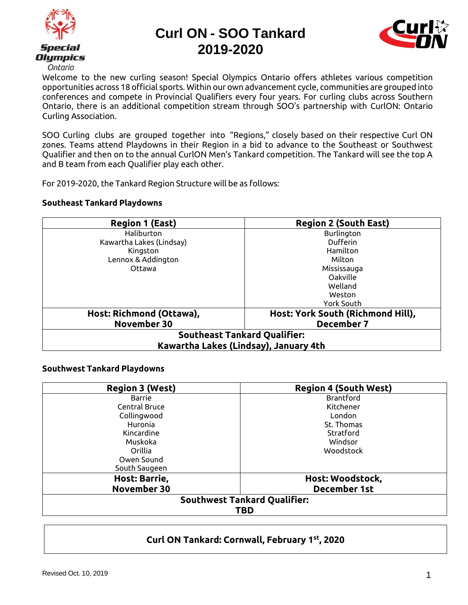



Welcome to the new curling season! Special Olympics Ontario offers athletes various competition opportunities across 18 official sports. Within our own advancement cycle, communities are grouped into conferences and compete in Provincial Qualifiers every four years. For curling clubs across Southern Ontario, there is an additional competition stream through SOO's partnership with CurlON: Ontario Curling Association.

SOO Curling clubs are grouped together into "Regions," closely based on their respective Curl ON zones. Teams attend Playdowns in their Region in a bid to advance to the Southeast or Southwest Qualifier and then on to the annual CurlON Men's Tankard competition. The Tankard will see the top A and B team from each Qualifier play each other.

For 2019-2020, the Tankard Region Structure will be as follows:

#### **Southeast Tankard Playdowns**

| <b>Region 1 (East)</b>                | <b>Region 2 (South East)</b>      |
|---------------------------------------|-----------------------------------|
| Haliburton                            | Burlington                        |
| Kawartha Lakes (Lindsay)              | Dufferin                          |
| Kingston                              | Hamilton                          |
| Lennox & Addington                    | Milton                            |
| Ottawa                                | Mississauga                       |
|                                       | Oakville                          |
|                                       | Welland                           |
|                                       | Weston                            |
|                                       | York South                        |
| Host: Richmond (Ottawa),              | Host: York South (Richmond Hill), |
| November 30                           | <b>December 7</b>                 |
| <b>Southeast Tankard Qualifier:</b>   |                                   |
| Kawartha Lakes (Lindsay), January 4th |                                   |

#### **Southwest Tankard Playdowns**

| <b>Region 3 (West)</b>              | <b>Region 4 (South West)</b> |
|-------------------------------------|------------------------------|
| <b>Barrie</b>                       | <b>Brantford</b>             |
| Central Bruce                       | Kitchener                    |
| Collingwood                         | London                       |
| Huronia                             | St. Thomas                   |
| Kincardine                          | Stratford                    |
| Muskoka                             | Windsor                      |
| Orillia                             | Woodstock                    |
| Owen Sound                          |                              |
| South Saugeen                       |                              |
| Host: Barrie,                       | Host: Woodstock,             |
| November 30                         | <b>December 1st</b>          |
| <b>Southwest Tankard Qualifier:</b> |                              |
| TBD                                 |                              |

### **Curl ON Tankard: Cornwall, February 1st, 2020**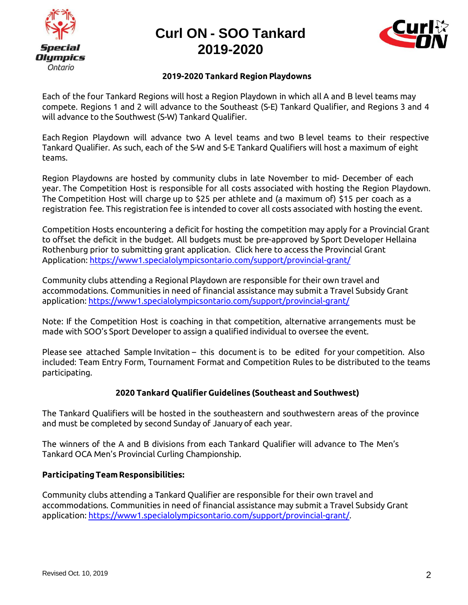



#### **2019-2020 Tankard Region Playdowns**

Each of the four Tankard Regions will host a Region Playdown in which all A and B level teams may compete. Regions 1 and 2 will advance to the Southeast (S-E) Tankard Qualifier, and Regions 3 and 4 will advance to the Southwest (S-W) Tankard Qualifier.

Each Region Playdown will advance two A level teams and two B level teams to their respective Tankard Qualifier. As such, each of the S-W and S-E Tankard Qualifiers will host a maximum of eight teams.

Region Playdowns are hosted by community clubs in late November to mid- December of each year. The Competition Host is responsible for all costs associated with hosting the Region Playdown. The Competition Host will charge up to \$25 per athlete and (a maximum of) \$15 per coach as a registration fee. This registration fee is intended to cover all costs associated with hosting the event.

Competition Hosts encountering a deficit for hosting the competition may apply for a Provincial Grant to offset the deficit in the budget. All budgets must be pre-approved by Sport Developer Hellaina Rothenburg prior to submitting grant application. Click here to access the Provincial Grant Application:<https://www1.specialolympicsontario.com/support/provincial-grant/>

Community clubs attending a Regional Playdown are responsible for their own travel and accommodations. Communities in need of financial assistance may submit a Travel Subsidy Grant application:<https://www1.specialolympicsontario.com/support/provincial-grant/>

Note: If the Competition Host is coaching in that competition, alternative arrangements must be made with SOO's Sport Developer to assign a qualified individual to oversee the event.

Please see attached Sample Invitation – this document is to be edited for your competition. Also included: Team Entry Form, Tournament Format and Competition Rules to be distributed to the teams participating.

#### **2020 Tankard Qualifier Guidelines (Southeast and Southwest)**

The Tankard Qualifiers will be hosted in the southeastern and southwestern areas of the province and must be completed by second Sunday of January of each year.

The winners of the A and B divisions from each Tankard Qualifier will advance to The Men's Tankard OCA Men's Provincial Curling Championship.

#### **ParticipatingTeamResponsibilities:**

Community clubs attending a Tankard Qualifier are responsible for their own travel and accommodations. Communities in need of financial assistance may submit a Travel Subsidy Grant application: [https://www1.specialolympicsontario.com/support/provincial-grant/.](https://www1.specialolympicsontario.com/support/provincial-grant/)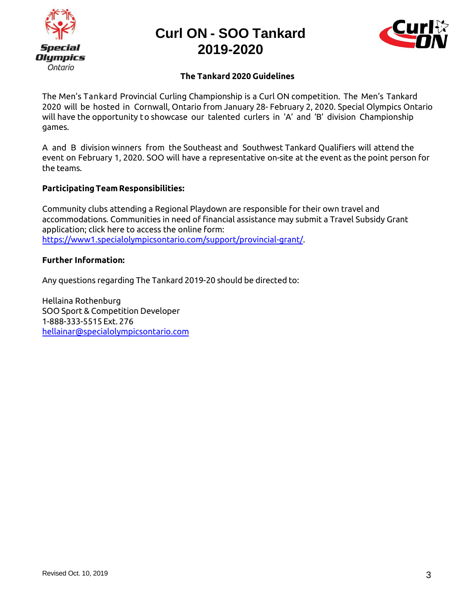



#### **The Tankard 2020 Guidelines**

The Men's Tankard Provincial Curling Championship is a Curl ON competition. The Men's Tankard 2020 will be hosted in Cornwall, Ontario from January 28- February 2, 2020. Special Olympics Ontario will have the opportunity to showcase our talented curlers in 'A' and 'B' division Championship games.

A and B division winners from the Southeast and Southwest Tankard Qualifiers will attend the event on February 1, 2020. SOO will have a representative on-site at the event as the point person for the teams.

#### **ParticipatingTeamResponsibilities:**

Community clubs attending a Regional Playdown are responsible for their own travel and accommodations. Communities in need of financial assistance may submit a Travel Subsidy Grant application; click here to access the online form: [https://www1.specialolympicsontario.com/support/provincial-grant/.](https://www1.specialolympicsontario.com/support/provincial-grant/)

#### **Further Information:**

Any questions regarding The Tankard 2019-20 should be directed to:

Hellaina Rothenburg SOO Sport & Competition Developer 1-888-333-5515 Ext. 276 [hellainar@specialolympicsontario.com](mailto:hellainar@specialolympicsontario.co)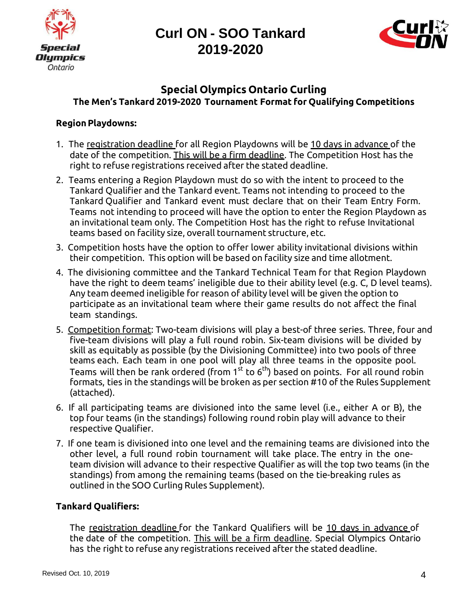



### **Special Olympics Ontario Curling The Men's Tankard 2019-2020 Tournament Format for Qualifying Competitions**

### **Region Playdowns:**

- 1. The registration deadline for all Region Playdowns will be 10 days in advance of the date of the competition. This will be a firm deadline. The Competition Host has the right to refuse registrations received after the stated deadline.
- 2. Teams entering a Region Playdown must do so with the intent to proceed to the Tankard Qualifier and the Tankard event. Teams not intending to proceed to the Tankard Qualifier and Tankard event must declare that on their Team Entry Form. Teams not intending to proceed will have the option to enter the Region Playdown as an invitational team only. The Competition Host has the right to refuse Invitational teams based on facility size, overall tournament structure, etc.
- 3. Competition hosts have the option to offer lower ability invitational divisions within their competition. This option will be based on facility size and time allotment.
- 4. The divisioning committee and the Tankard Technical Team for that Region Playdown have the right to deem teams' ineligible due to their ability level (e.g. C, D level teams). Any team deemed ineligible for reason of ability level will be given the option to participate as an invitational team where their game results do not affect the final team standings.
- 5. Competition format: Two-team divisions will play a best-of three series. Three, four and five-team divisions will play a full round robin. Six-team divisions will be divided by skill as equitably as possible (by the Divisioning Committee) into two pools of three teams each. Each team in one pool will play all three teams in the opposite pool. Teams will then be rank ordered (from 1 $^{\rm st}$  to 6 $^{\rm th}$ ) based on points. For all round robin formats, ties in the standings will be broken as per section #10 of the Rules Supplement (attached).
- 6. If all participating teams are divisioned into the same level (i.e., either A or B), the top four teams (in the standings) following round robin play will advance to their respective Qualifier.
- 7. If one team is divisioned into one level and the remaining teams are divisioned into the other level, a full round robin tournament will take place. The entry in the oneteam division will advance to their respective Qualifier as will the top two teams (in the standings) from among the remaining teams (based on the tie-breaking rules as outlined in the SOO Curling Rules Supplement).

### **Tankard Qualifiers:**

The registration deadline for the Tankard Qualifiers will be 10 days in advance of the date of the competition. This will be a firm deadline. Special Olympics Ontario has the right to refuse any registrations received after the stated deadline.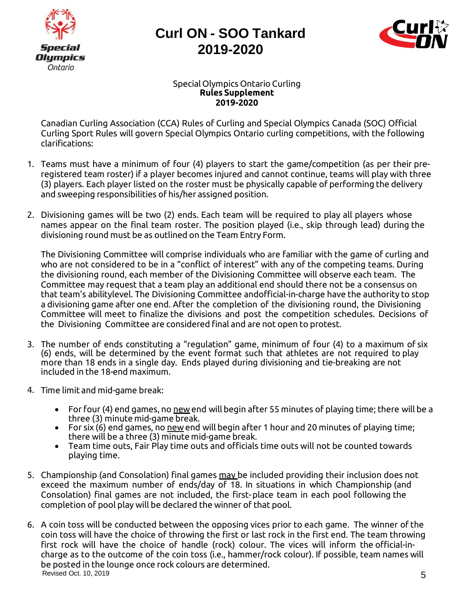



#### Special Olympics Ontario Curling **Rules Supplement 2019-2020**

Canadian Curling Association (CCA) Rules of Curling and Special Olympics Canada (SOC) Official Curling Sport Rules will govern Special Olympics Ontario curling competitions, with the following clarifications:

- 1. Teams must have a minimum of four (4) players to start the game/competition (as per their preregistered team roster) if a player becomes injured and cannot continue, teams will play with three (3) players. Each player listed on the roster must be physically capable of performing the delivery and sweeping responsibilities of his/her assigned position.
- 2. Divisioning games will be two (2) ends. Each team will be required to play all players whose names appear on the final team roster. The position played (i.e., skip through lead) during the divisioning round must be as outlined on the Team Entry Form.

The Divisioning Committee will comprise individuals who are familiar with the game of curling and who are not considered to be in a "conflict of interest" with any of the competing teams. During the divisioning round, each member of the Divisioning Committee will observe each team. The Committee may request that a team play an additional end should there not be a consensus on that team's abilitylevel. The Divisioning Committee andofficial-in-charge have the authority to stop a divisioning game after one end. After the completion of the divisioning round, the Divisioning Committee will meet to finalize the divisions and post the competition schedules. Decisions of the Divisioning Committee are considered final and are not open to protest.

- 3. The number of ends constituting a "regulation" game, minimum of four (4) to a maximum of six (6) ends, will be determined by the event format such that athletes are not required to play more than 18 ends in a single day. Ends played during divisioning and tie-breaking are not included in the 18-end maximum.
- 4. Time limit and mid-game break:
	- For four (4) end games, no  $\mu$ ew end will begin after 55 minutes of playing time; there will be a three (3) minute mid-game break.
	- For six (6) end games, no  $\frac{new}{end}$  will begin after 1 hour and 20 minutes of playing time; there will be a three (3) minute mid-game break.
	- Team time outs, Fair Play time outs and officials time outs will not be counted towards playing time.
- 5. Championship (and Consolation) final games may be included providing their inclusion does not exceed the maximum number of ends/day of 18. In situations in which Championship (and Consolation) final games are not included, the first-place team in each pool following the completion of pool play will be declared the winner of that pool.
- Revised Oct. 10, 2019  $\overline{5}$ 6. A coin toss will be conducted between the opposing vices prior to each game. The winner of the coin toss will have the choice of throwing the first or last rock in the first end. The team throwing first rock will have the choice of handle (rock) colour. The vices will inform the official-incharge as to the outcome of the coin toss (i.e., hammer/rock colour). If possible, team names will be posted in the lounge once rock colours are determined.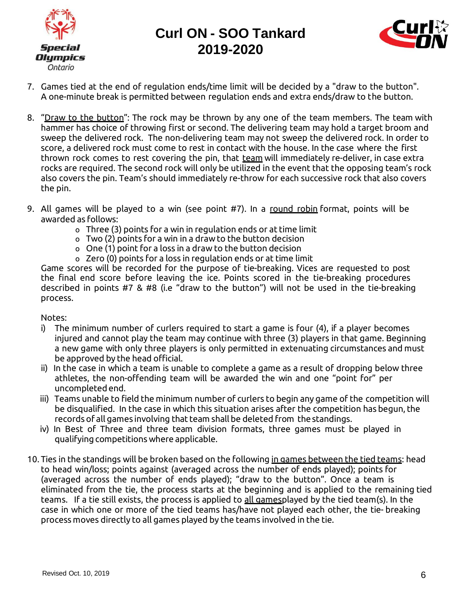



- 7. Games tied at the end of regulation ends/time limit will be decided by a "draw to the button". A one-minute break is permitted between regulation ends and extra ends/draw to the button.
- 8. "Draw to the button": The rock may be thrown by any one of the team members. The team with hammer has choice of throwing first or second. The delivering team may hold a target broom and sweep the delivered rock. The non-delivering team may not sweep the delivered rock. In order to score, a delivered rock must come to rest in contact with the house. In the case where the first thrown rock comes to rest covering the pin, that team will immediately re-deliver, in case extra rocks are required. The second rock will only be utilized in the event that the opposing team's rock also covers the pin. Team's should immediately re-throw for each successive rock that also covers the pin.
- 9. All games will be played to a win (see point #7). In a round robin format, points will be awarded as follows:
	- o Three (3) points for a win in regulation ends or at time limit
	- o Two (2) points for a win in a drawto the button decision
	- o One (1) point for a loss in a draw to the button decision
	- o Zero (0) points for a loss in regulation ends or at time limit

Game scores will be recorded for the purpose of tie-breaking. Vices are requested to post the final end score before leaving the ice. Points scored in the tie-breaking procedures described in points #7 & #8 (i.e "draw to the button") will not be used in the tie-breaking process.

#### Notes:

- i) The minimum number of curlers required to start a game is four (4), if a player becomes injured and cannot play the team may continue with three (3) players in that game. Beginning a new game with only three players is only permitted in extenuating circumstances and must be approved by the head official.
- ii) In the case in which a team is unable to complete a game as a result of dropping below three athletes, the non-offending team will be awarded the win and one "point for" per uncompletedend.
- iii) Teams unable to field the minimum number of curlers to begin any game of the competition will be disqualified. In the case in which this situation arises after the competition has begun, the records of all games involving that team shall be deleted from thestandings.
- iv) In Best of Three and three team division formats, three games must be played in qualifying competitions where applicable.
- 10. Ties in the standings will be broken based on the following in games between the tied teams: head to head win/loss; points against (averaged across the number of ends played); points for (averaged across the number of ends played); "draw to the button". Once a team is eliminated from the tie, the process starts at the beginning and is applied to the remaining tied teams. If a tie still exists, the process is applied to all gamesplayed by the tied team(s). In the case in which one or more of the tied teams has/have not played each other, the tie- breaking process moves directly to all games played by the teams involved in the tie.